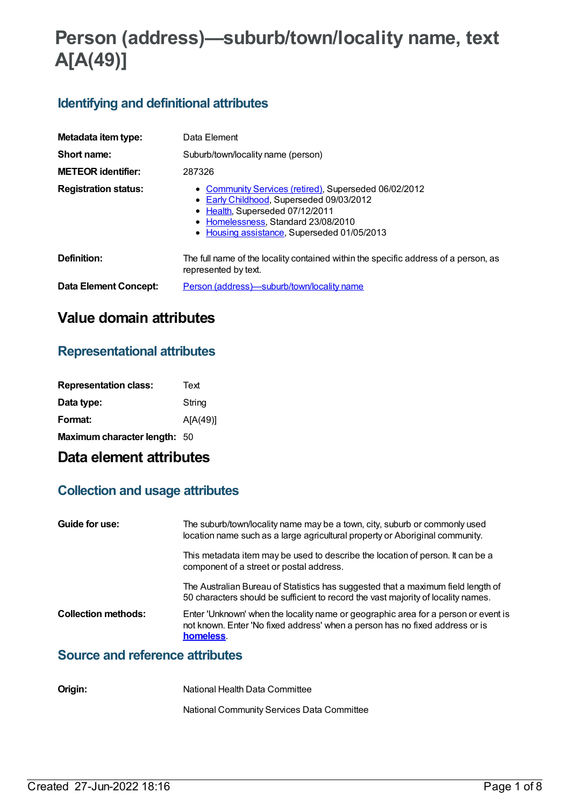# **Person (address)—suburb/town/locality name, text A[A(49)]**

# **Identifying and definitional attributes**

| Metadata item type:         | Data Element                                                                                                                                                                                                               |  |  |
|-----------------------------|----------------------------------------------------------------------------------------------------------------------------------------------------------------------------------------------------------------------------|--|--|
| Short name:                 | Suburb/town/locality name (person)                                                                                                                                                                                         |  |  |
| <b>METEOR identifier:</b>   | 287326                                                                                                                                                                                                                     |  |  |
| <b>Registration status:</b> | • Community Services (retired), Superseded 06/02/2012<br>• Early Childhood, Superseded 09/03/2012<br>• Health, Superseded 07/12/2011<br>• Homelessness, Standard 23/08/2010<br>• Housing assistance, Superseded 01/05/2013 |  |  |
| Definition:                 | The full name of the locality contained within the specific address of a person, as<br>represented by text.                                                                                                                |  |  |
| Data Element Concept:       | <u>Person (address)—suburb/town/locality name</u>                                                                                                                                                                          |  |  |

# **Value domain attributes**

# **Representational attributes**

| <b>Representation class:</b> | Text     |
|------------------------------|----------|
| Data type:                   | String   |
| Format:                      | A[A(49)] |
| Maximum character length: 50 |          |

# **Data element attributes**

# **Collection and usage attributes**

| Guide for use:                         | The suburb/town/locality name may be a town, city, suburb or commonly used<br>location name such as a large agricultural property or Aboriginal community.                      |
|----------------------------------------|---------------------------------------------------------------------------------------------------------------------------------------------------------------------------------|
|                                        | This metadata item may be used to describe the location of person. It can be a<br>component of a street or postal address.                                                      |
|                                        | The Australian Bureau of Statistics has suggested that a maximum field length of<br>50 characters should be sufficient to record the vast majority of locality names.           |
| <b>Collection methods:</b>             | Enter 'Unknown' when the locality name or geographic area for a person or event is<br>not known. Enter 'No fixed address' when a person has no fixed address or is<br>homeless. |
| <b>Source and reference attributes</b> |                                                                                                                                                                                 |

| Origin:<br>National Health Data Committee |
|-------------------------------------------|
|-------------------------------------------|

National Community Services Data Committee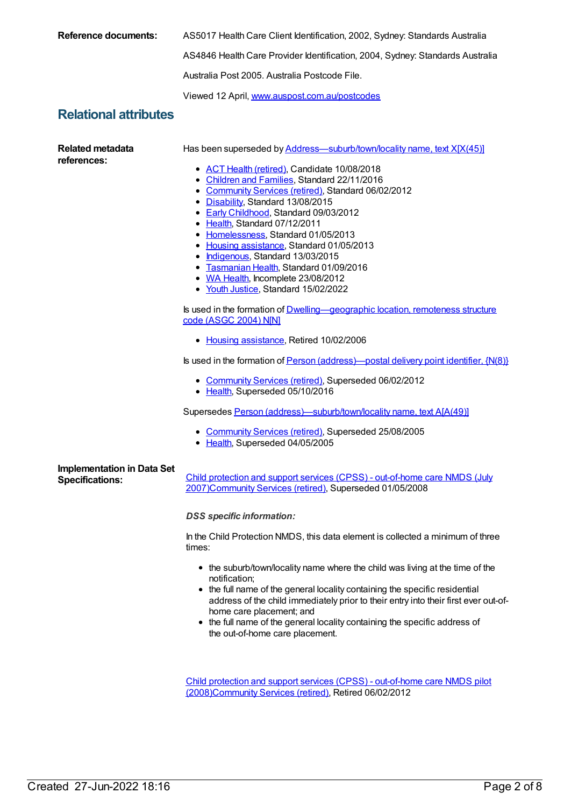| <b>Reference documents:</b>                                 | AS5017 Health Care Client Identification, 2002, Sydney: Standards Australia                                                                                                                                                                                                                                                                                                                                                                                                                                                                                                                                                                                                                                                                                                                                                                                                                                                                                                                                                                                                                                                         |  |  |
|-------------------------------------------------------------|-------------------------------------------------------------------------------------------------------------------------------------------------------------------------------------------------------------------------------------------------------------------------------------------------------------------------------------------------------------------------------------------------------------------------------------------------------------------------------------------------------------------------------------------------------------------------------------------------------------------------------------------------------------------------------------------------------------------------------------------------------------------------------------------------------------------------------------------------------------------------------------------------------------------------------------------------------------------------------------------------------------------------------------------------------------------------------------------------------------------------------------|--|--|
|                                                             | AS4846 Health Care Provider Identification, 2004, Sydney: Standards Australia                                                                                                                                                                                                                                                                                                                                                                                                                                                                                                                                                                                                                                                                                                                                                                                                                                                                                                                                                                                                                                                       |  |  |
|                                                             | Australia Post 2005, Australia Postcode File.                                                                                                                                                                                                                                                                                                                                                                                                                                                                                                                                                                                                                                                                                                                                                                                                                                                                                                                                                                                                                                                                                       |  |  |
|                                                             | Viewed 12 April, www.auspost.com.au/postcodes                                                                                                                                                                                                                                                                                                                                                                                                                                                                                                                                                                                                                                                                                                                                                                                                                                                                                                                                                                                                                                                                                       |  |  |
| <b>Relational attributes</b>                                |                                                                                                                                                                                                                                                                                                                                                                                                                                                                                                                                                                                                                                                                                                                                                                                                                                                                                                                                                                                                                                                                                                                                     |  |  |
| <b>Related metadata</b><br>references:                      | Has been superseded by Address-suburb/town/locality name, text X[X(45)]<br>• ACT Health (retired), Candidate 10/08/2018<br>• Children and Families, Standard 22/11/2016<br>• Community Services (retired), Standard 06/02/2012<br>• Disability, Standard 13/08/2015<br>• Early Childhood, Standard 09/03/2012<br>• Health, Standard 07/12/2011<br>• Homelessness, Standard 01/05/2013<br>• Housing assistance, Standard 01/05/2013<br>• Indigenous, Standard 13/03/2015<br>• Tasmanian Health, Standard 01/09/2016<br>• WA Health, Incomplete 23/08/2012<br>• Youth Justice, Standard 15/02/2022<br>Is used in the formation of <b>Dwelling—geographic location</b> , remoteness structure<br>code (ASGC 2004) N[N]<br>• Housing assistance, Retired 10/02/2006<br>Is used in the formation of <b>Person</b> (address)—postal delivery point identifier, $\{N(8)\}$<br>• Community Services (retired), Superseded 06/02/2012<br>• Health, Superseded 05/10/2016<br>Supersedes Person (address)—suburb/town/locality name, text A[A(49)]<br>• Community Services (retired), Superseded 25/08/2005<br>• Health, Superseded 04/05/2005 |  |  |
| <b>Implementation in Data Set</b><br><b>Specifications:</b> | Child protection and support services (CPSS) - out-of-home care NMDS (July<br>2007)Community Services (retired), Superseded 01/05/2008<br><b>DSS</b> specific information:<br>In the Child Protection NMDS, this data element is collected a minimum of three<br>times:<br>• the suburb/town/locality name where the child was living at the time of the<br>notification;<br>• the full name of the general locality containing the specific residential<br>address of the child immediately prior to their entry into their first ever out-of-<br>home care placement; and<br>• the full name of the general locality containing the specific address of<br>the out-of-home care placement.                                                                                                                                                                                                                                                                                                                                                                                                                                        |  |  |

Child protection and support services (CPSS) - out-of-home care NMDS pilot [\(2008\)Community](https://meteor.aihw.gov.au/content/367283) Services (retired), Retired 06/02/2012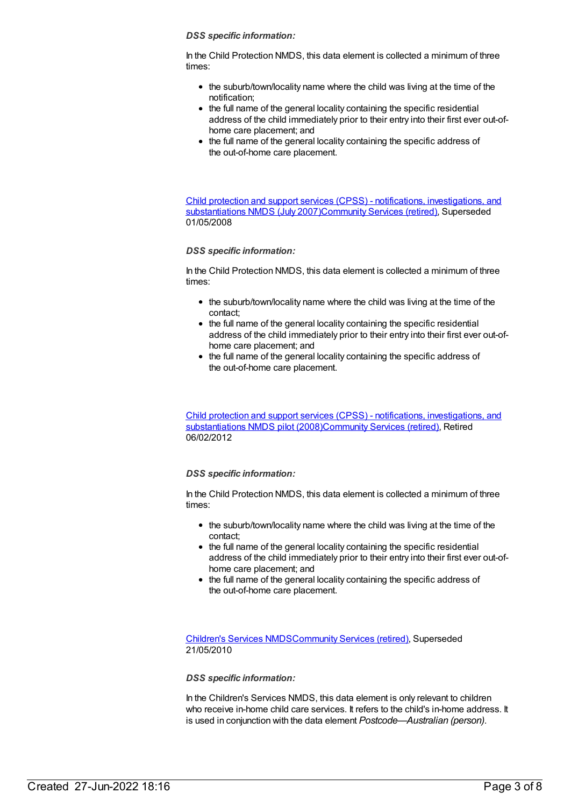#### *DSS specific information:*

In the Child Protection NMDS, this data element is collected a minimum of three times:

- the suburb/town/locality name where the child was living at the time of the notification;
- the full name of the general locality containing the specific residential address of the child immediately prior to their entry into their first ever out-ofhome care placement; and
- the full name of the general locality containing the specific address of the out-of-home care placement.

Child protection and support services (CPSS) - notifications, investigations, and substantiations NMDS (July [2007\)Community](https://meteor.aihw.gov.au/content/314520) Services (retired), Superseded 01/05/2008

# *DSS specific information:*

In the Child Protection NMDS, this data element is collected a minimum of three times:

- the suburb/town/locality name where the child was living at the time of the contact;
- the full name of the general locality containing the specific residential address of the child immediately prior to their entry into their first ever out-ofhome care placement; and
- the full name of the general locality containing the specific address of the out-of-home care placement.

Child protection and support services (CPSS) - notifications, investigations, and substantiations NMDS pilot [\(2008\)](https://meteor.aihw.gov.au/content/367251)[Community](https://meteor.aihw.gov.au/RegistrationAuthority/1) Services (retired), Retired 06/02/2012

# *DSS specific information:*

In the Child Protection NMDS, this data element is collected a minimum of three times:

- the suburb/town/locality name where the child was living at the time of the contact;
- the full name of the general locality containing the specific residential address of the child immediately prior to their entry into their first ever out-ofhome care placement; and
- the full name of the general locality containing the specific address of the out-of-home care placement.

[Children's](https://meteor.aihw.gov.au/content/308217) Services NMD[SCommunity](https://meteor.aihw.gov.au/RegistrationAuthority/1) Services (retired), Superseded 21/05/2010

#### *DSS specific information:*

In the Children's Services NMDS, this data element is only relevant to children who receive in-home child care services. It refers to the child's in-home address. It is used in conjunction with the data element *Postcode—Australian (person)*.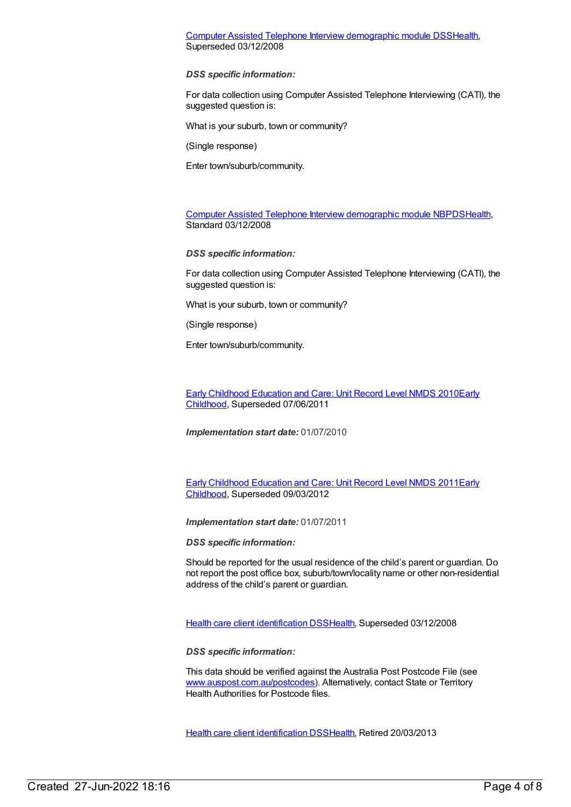# Computer Assisted Telephone Interview [demographic](https://meteor.aihw.gov.au/content/291112) module DS[SHealth](https://meteor.aihw.gov.au/RegistrationAuthority/12), Superseded 03/12/2008

*DSS specific information:*

For data collection using Computer Assisted Telephone Interviewing (CATI), the suggested question is:

What is your suburb, town or community?

(Single response)

Enter town/suburb/community.

Computer Assisted Telephone Interview [demographic](https://meteor.aihw.gov.au/content/374218) module NBPD[SHealth](https://meteor.aihw.gov.au/RegistrationAuthority/12), Standard 03/12/2008

*DSS specific information:*

For data collection using Computer Assisted Telephone Interviewing (CATI), the suggested question is:

What is your suburb, town or community?

(Single response)

Enter town/suburb/community.

Early Childhood [Education](https://meteor.aihw.gov.au/content/396792) and Care: Unit Record Level NMDS 2010Early Childhood, [Superseded](https://meteor.aihw.gov.au/RegistrationAuthority/13) 07/06/2011

*Implementation start date:* 01/07/2010

Early Childhood [Education](https://meteor.aihw.gov.au/content/438006) and Care: Unit Record Level NMDS 2011Early Childhood, [Superseded](https://meteor.aihw.gov.au/RegistrationAuthority/13) 09/03/2012

*Implementation start date:* 01/07/2011

*DSS specific information:*

Should be reported for the usual residence of the child's parent or guardian. Do not report the post office box, suburb/town/locality name or other non-residential address of the child's parent or guardian.

Health care client [identification](https://meteor.aihw.gov.au/content/288765) DSS[Health,](https://meteor.aihw.gov.au/RegistrationAuthority/12) Superseded 03/12/2008

*DSS specific information:*

This data should be verified against the Australia Post Postcode File (see [www.auspost.com.au/postcodes](http://www.auspost.com.au/postcodes)). Alternatively, contact State or Territory Health Authorities for Postcode files.

Health care client [identification](https://meteor.aihw.gov.au/content/374201) DSS[Health,](https://meteor.aihw.gov.au/RegistrationAuthority/12) Retired 20/03/2013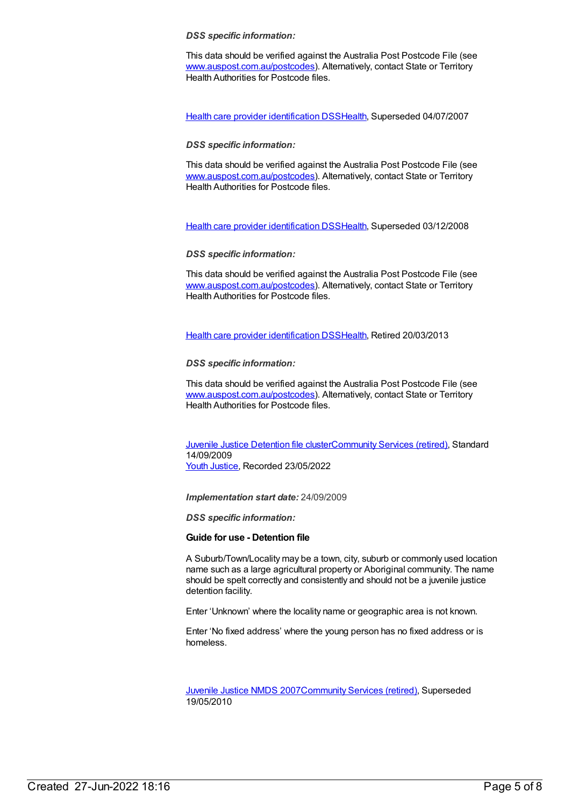#### *DSS specific information:*

This data should be verified against the Australia Post Postcode File (see [www.auspost.com.au/postcodes](http://www.auspost.com.au/postcodes)). Alternatively, contact State or Territory Health Authorities for Postcode files.

Health care provider [identification](https://meteor.aihw.gov.au/content/289061) DSS[Health](https://meteor.aihw.gov.au/RegistrationAuthority/12), Superseded 04/07/2007

# *DSS specific information:*

This data should be verified against the Australia Post Postcode File (see [www.auspost.com.au/postcodes](http://www.auspost.com.au/postcodes)). Alternatively, contact State or Territory Health Authorities for Postcode files.

Health care provider [identification](https://meteor.aihw.gov.au/content/356020) DSS[Health](https://meteor.aihw.gov.au/RegistrationAuthority/12), Superseded 03/12/2008

# *DSS specific information:*

This data should be verified against the Australia Post Postcode File (see [www.auspost.com.au/postcodes](http://www.auspost.com.au/postcodes)). Alternatively, contact State or Territory Health Authorities for Postcode files.

Health care provider [identification](https://meteor.aihw.gov.au/content/374199) DSS[Health](https://meteor.aihw.gov.au/RegistrationAuthority/12), Retired 20/03/2013

# *DSS specific information:*

This data should be verified against the Australia Post Postcode File (see [www.auspost.com.au/postcodes](http://www.auspost.com.au/postcodes)). Alternatively, contact State or Territory Health Authorities for Postcode files.

Juvenile Justice [Detention](https://meteor.aihw.gov.au/content/386853) file cluste[rCommunity](https://meteor.aihw.gov.au/RegistrationAuthority/1) Services (retired), Standard 14/09/2009 Youth [Justice](https://meteor.aihw.gov.au/RegistrationAuthority/4), Recorded 23/05/2022

*Implementation start date:* 24/09/2009

*DSS specific information:*

# **Guide for use - Detention file**

A Suburb/Town/Locality may be a town, city, suburb or commonly used location name such as a large agricultural property or Aboriginal community. The name should be spelt correctly and consistently and should not be a juvenile justice detention facility.

Enter 'Unknown' where the locality name or geographic area is not known.

Enter 'No fixed address' where the young person has no fixed address or is homeless.

[Juvenile](https://meteor.aihw.gov.au/content/314122) Justice NMDS 200[7Community](https://meteor.aihw.gov.au/RegistrationAuthority/1) Services (retired), Superseded 19/05/2010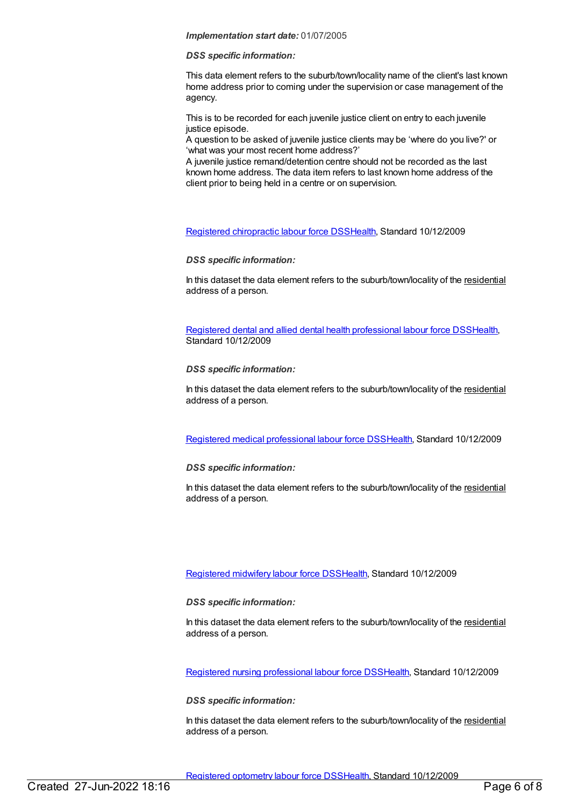#### *Implementation start date:* 01/07/2005

#### *DSS specific information:*

This data element refers to the suburb/town/locality name of the client's last known home address prior to coming under the supervision or case management of the agency.

This is to be recorded for each juvenile justice client on entry to each juvenile justice episode.

A question to be asked of juvenile justice clients may be 'where do you live?' or 'what was your most recent home address?'

A juvenile justice remand/detention centre should not be recorded as the last known home address. The data item refers to last known home address of the client prior to being held in a centre or on supervision.

Registered [chiropractic](https://meteor.aihw.gov.au/content/384097) labour force DS[SHealth](https://meteor.aihw.gov.au/RegistrationAuthority/12), Standard 10/12/2009

*DSS specific information:*

In this dataset the data element refers to the suburb/town/locality of the residential address of a person.

Registered dental and allied dental health [professional](https://meteor.aihw.gov.au/content/384102) labour force DSS[Health](https://meteor.aihw.gov.au/RegistrationAuthority/12), Standard 10/12/2009

# *DSS specific information:*

In this dataset the data element refers to the suburb/town/locality of the residential address of a person.

Registered medical [professional](https://meteor.aihw.gov.au/content/375422) labour force DSS[Health](https://meteor.aihw.gov.au/RegistrationAuthority/12), Standard 10/12/2009

# *DSS specific information:*

In this dataset the data element refers to the suburb/town/locality of the residential address of a person.

# [Registered](https://meteor.aihw.gov.au/content/384118) midwifery labour force DS[SHealth](https://meteor.aihw.gov.au/RegistrationAuthority/12), Standard 10/12/2009

# *DSS specific information:*

In this dataset the data element refers to the suburb/town/locality of the residential address of a person.

Registered nursing [professional](https://meteor.aihw.gov.au/content/384109) labour force DS[SHealth](https://meteor.aihw.gov.au/RegistrationAuthority/12), Standard 10/12/2009

# *DSS specific information:*

In this dataset the data element refers to the suburb/town/locality of the residential address of a person.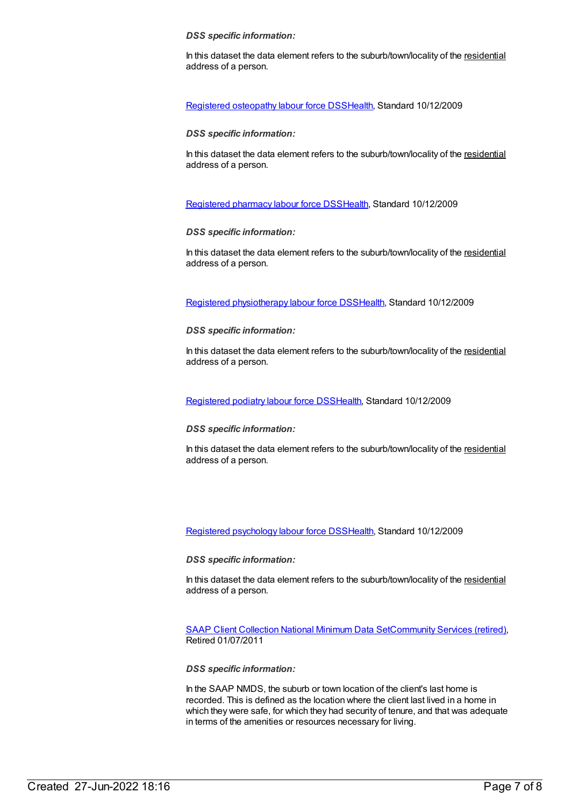#### *DSS specific information:*

In this dataset the data element refers to the suburb/town/locality of the residential address of a person.

Registered [osteopathy](https://meteor.aihw.gov.au/content/384128) labour force DS[SHealth](https://meteor.aihw.gov.au/RegistrationAuthority/12), Standard 10/12/2009

# *DSS specific information:*

In this dataset the data element refers to the suburb/town/locality of the residential address of a person.

[Registered](https://meteor.aihw.gov.au/content/384152) pharmacy labour force DSS[Health](https://meteor.aihw.gov.au/RegistrationAuthority/12), Standard 10/12/2009

# *DSS specific information:*

In this dataset the data element refers to the suburb/town/locality of the residential address of a person.

Registered [physiotherapy](https://meteor.aihw.gov.au/content/384162) labour force DS[SHealth](https://meteor.aihw.gov.au/RegistrationAuthority/12), Standard 10/12/2009

# *DSS specific information:*

In this dataset the data element refers to the suburb/town/locality of the residential address of a person.

[Registered](https://meteor.aihw.gov.au/content/384166) podiatry labour force DS[SHealth](https://meteor.aihw.gov.au/RegistrationAuthority/12), Standard 10/12/2009

# *DSS specific information:*

In this dataset the data element refers to the suburb/town/locality of the residential address of a person.

Registered [psychology](https://meteor.aihw.gov.au/content/384170) labour force DS[SHealth](https://meteor.aihw.gov.au/RegistrationAuthority/12), Standard 10/12/2009

*DSS specific information:*

In this dataset the data element refers to the suburb/town/locality of the residential address of a person.

SAAP Client [Collection](https://meteor.aihw.gov.au/content/339019) National Minimum Data Se[tCommunity](https://meteor.aihw.gov.au/RegistrationAuthority/1) Services (retired), Retired 01/07/2011

*DSS specific information:*

In the SAAP NMDS, the suburb or town location of the client's last home is recorded. This is defined as the location where the client last lived in a home in which they were safe, for which they had security of tenure, and that was adequate in terms of the amenities or resources necessary for living.